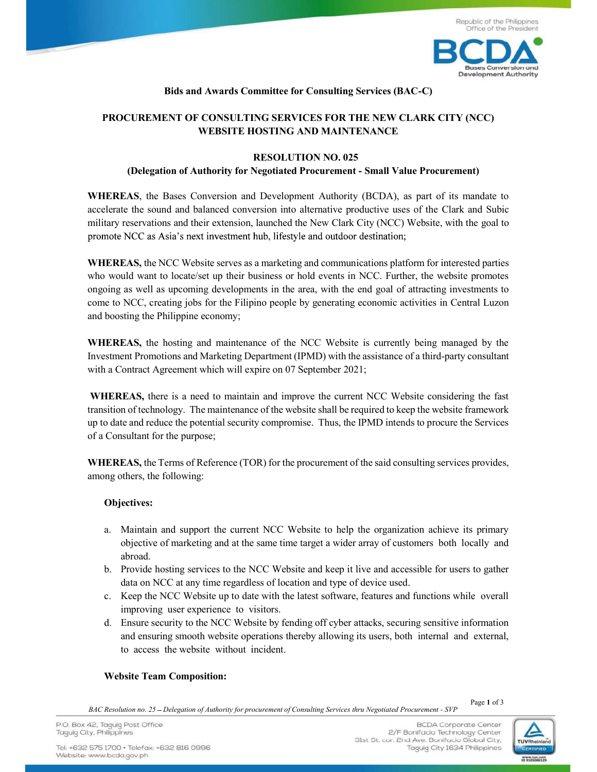

## Bids and Awards Committee for Consulting Services (BAC-C)

# PROCUREMENT OF CONSULTING SERVICES FOR THE NEW CLARK CITY (NCC) WEBSITE HOSTING AND MAINTENANCE

#### RESOLUTION NO. 025

#### (Delegation of Authority for Negotiated Procurement - Small Value Procurement)

 WHEREAS, the Bases Conversion and Development Authority (BCDA), as part of its mandate to accelerate the sound and balanced conversion into alternative productive uses of the Clark and Subic military reservations and their extension, launched the New Clark City (NCC) Website, with the goal to promote NCC as Asia's next investment hub, lifestyle and outdoor destination;

WHEREAS, the NCC Website serves as a marketing and communications platform for interested parties who would want to locate/set up their business or hold events in NCC. Further, the website promotes ongoing as well as upcoming developments in the area, with the end goal of attracting investments to come to NCC, creating jobs for the Filipino people by generating economic activities in Central Luzon and boosting the Philippine economy;

WHEREAS, the hosting and maintenance of the NCC Website is currently being managed by the Investment Promotions and Marketing Department (IPMD) with the assistance of a third-party consultant with a Contract Agreement which will expire on 07 September 2021;

WHEREAS, there is a need to maintain and improve the current NCC Website considering the fast transition of technology. The maintenance of the website shall be required to keep the website framework up to date and reduce the potential security compromise. Thus, the IPMD intends to procure the Services of a Consultant for the purpose;

WHEREAS, the Terms of Reference (TOR) for the procurement of the said consulting services provides, among others, the following:

### Objectives:

- a. Maintain and support the current NCC Website to help the organization achieve its primary objective of marketing and at the same time target a wider array of customers both locally and abroad.
- b. Provide hosting services to the NCC Website and keep it live and accessible for users to gather data on NCC at any time regardless of location and type of device used.
- c. Keep the NCC Website up to date with the latest software, features and functions while overall improving user experience to visitors.
- d. Ensure security to the NCC Website by fending off cyber attacks, securing sensitive information and ensuring smooth website operations thereby allowing its users, both internal and external, to access the website without incident.

#### Website Team Composition:

BAC Resolution no. 25 Delegation of Authority for procurement of Consulting Services thru Negotiated Procurement - SVP

Page 1 of 3

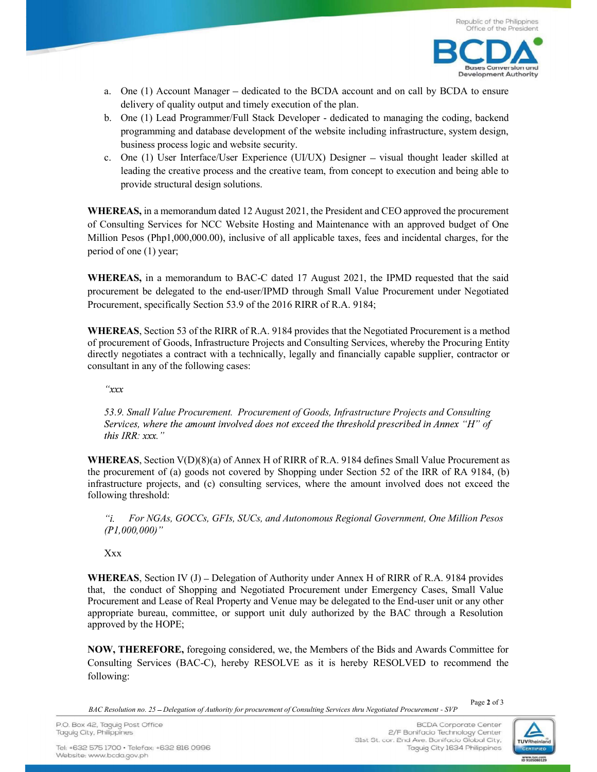

- a. One  $(1)$  Account Manager dedicated to the BCDA account and on call by BCDA to ensure delivery of quality output and timely execution of the plan.
- b. One (1) Lead Programmer/Full Stack Developer dedicated to managing the coding, backend programming and database development of the website including infrastructure, system design, business process logic and website security.
- c. One (1) User Interface/User Experience (UI/UX) Designer  $-$  visual thought leader skilled at leading the creative process and the creative team, from concept to execution and being able to provide structural design solutions.

WHEREAS, in a memorandum dated 12 August 2021, the President and CEO approved the procurement of Consulting Services for NCC Website Hosting and Maintenance with an approved budget of One Million Pesos (Php1,000,000.00), inclusive of all applicable taxes, fees and incidental charges, for the period of one (1) year;

WHEREAS, in a memorandum to BAC-C dated 17 August 2021, the IPMD requested that the said procurement be delegated to the end-user/IPMD through Small Value Procurement under Negotiated Procurement, specifically Section 53.9 of the 2016 RIRR of R.A. 9184;

WHEREAS, Section 53 of the RIRR of R.A. 9184 provides that the Negotiated Procurement is a method of procurement of Goods, Infrastructure Projects and Consulting Services, whereby the Procuring Entity directly negotiates a contract with a technically, legally and financially capable supplier, contractor or consultant in any of the following cases:

 $\alpha x$ 

 53.9. Small Value Procurement. Procurement of Goods, Infrastructure Projects and Consulting Services, where the amount involved does not exceed the threshold prescribed in Annex "H" of this IRR: xxx."

WHEREAS, Section V(D)(8)(a) of Annex H of RIRR of R.A. 9184 defines Small Value Procurement as the procurement of (a) goods not covered by Shopping under Section 52 of the IRR of RA 9184, (b) infrastructure projects, and (c) consulting services, where the amount involved does not exceed the following threshold:

 For NGAs, GOCCs, GFIs, SUCs, and Autonomous Regional Government, One Million Pesos  $(PI, 000, 000)$ "

**Xxx** 

WHEREAS, Section IV  $(J)$  – Delegation of Authority under Annex H of RIRR of R.A. 9184 provides that, the conduct of Shopping and Negotiated Procurement under Emergency Cases, Small Value Procurement and Lease of Real Property and Venue may be delegated to the End-user unit or any other appropriate bureau, committee, or support unit duly authorized by the BAC through a Resolution approved by the HOPE;

NOW, THEREFORE, foregoing considered, we, the Members of the Bids and Awards Committee for Consulting Services (BAC-C), hereby RESOLVE as it is hereby RESOLVED to recommend the following:

Page 2 of 3

BAC Resolution no. 25 Delegation of Authority for procurement of Consulting Services thru Negotiated Procurement - SVP



P.O. Box 42, Taguig Post Office Taguig City, Philippines